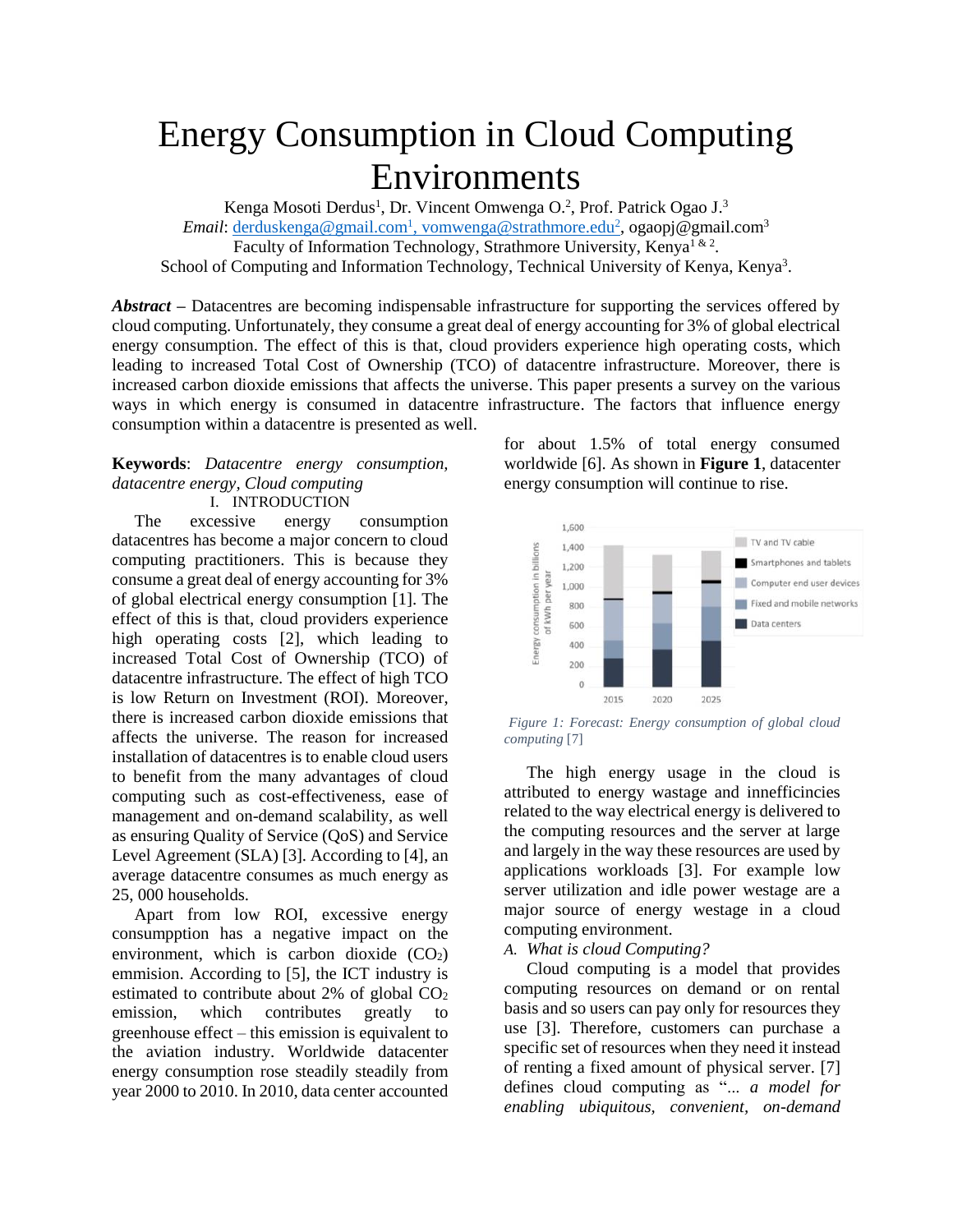# Energy Consumption in Cloud Computing Environments

Kenga Mosoti Derdus<sup>1</sup>, Dr. Vincent Omwenga O.<sup>2</sup>, Prof. Patrick Ogao J.<sup>3</sup> Email: <u>derduskenga@gmail.com<sup>1</sup>[, vomwenga@strathmore.edu](mailto:derduskenga@gmail.com1,%20vomwenga@strathmore.edu2)<sup>2</sup>, ogaopj@gmail.com<sup>3</sup></u> Faculty of Information Technology, Strathmore University, Kenya<sup>1 & 2</sup>. School of Computing and Information Technology, Technical University of Kenya, Kenya<sup>3</sup>.

*Abstract* **–** Datacentres are becoming indispensable infrastructure for supporting the services offered by cloud computing. Unfortunately, they consume a great deal of energy accounting for 3% of global electrical energy consumption. The effect of this is that, cloud providers experience high operating costs, which leading to increased Total Cost of Ownership (TCO) of datacentre infrastructure. Moreover, there is increased carbon dioxide emissions that affects the universe. This paper presents a survey on the various ways in which energy is consumed in datacentre infrastructure. The factors that influence energy consumption within a datacentre is presented as well.

#### **Keywords**: *Datacentre energy consumption, datacentre energy, Cloud computing*  I. INTRODUCTION

The excessive energy consumption datacentres has become a major concern to cloud computing practitioners. This is because they consume a great deal of energy accounting for 3% of global electrical energy consumption [1]. The effect of this is that, cloud providers experience high operating costs [2], which leading to increased Total Cost of Ownership (TCO) of datacentre infrastructure. The effect of high TCO is low Return on Investment (ROI). Moreover, there is increased carbon dioxide emissions that affects the universe. The reason for increased installation of datacentres is to enable cloud users to benefit from the many advantages of cloud computing such as cost-effectiveness, ease of management and on-demand scalability, as well as ensuring Quality of Service (QoS) and Service Level Agreement (SLA) [3]. According to [4], an average datacentre consumes as much energy as 25, 000 households.

Apart from low ROI, excessive energy consumpption has a negative impact on the environment, which is carbon dioxide  $(CO<sub>2</sub>)$ emmision. According to [5], the ICT industry is estimated to contribute about 2% of global  $CO<sub>2</sub>$ emission, which contributes greatly to greenhouse effect – this emission is equivalent to the aviation industry. Worldwide datacenter energy consumption rose steadily steadily from year 2000 to 2010. In 2010, data center accounted for about 1.5% of total energy consumed worldwide [6]. As shown in **[Figure 1](#page-0-0)**, datacenter energy consumption will continue to rise.



<span id="page-0-0"></span>*Figure 1: Forecast: Energy consumption of global cloud computing* [7]

The high energy usage in the cloud is attributed to energy wastage and innefficincies related to the way electrical energy is delivered to the computing resources and the server at large and largely in the way these resources are used by applications workloads [3]. For example low server utilization and idle power westage are a major source of energy westage in a cloud computing environment.

*A. What is cloud Computing?* 

Cloud computing is a model that provides computing resources on demand or on rental basis and so users can pay only for resources they use [3]. Therefore, customers can purchase a specific set of resources when they need it instead of renting a fixed amount of physical server. [7] defines cloud computing as "... *a model for enabling ubiquitous, convenient, on-demand*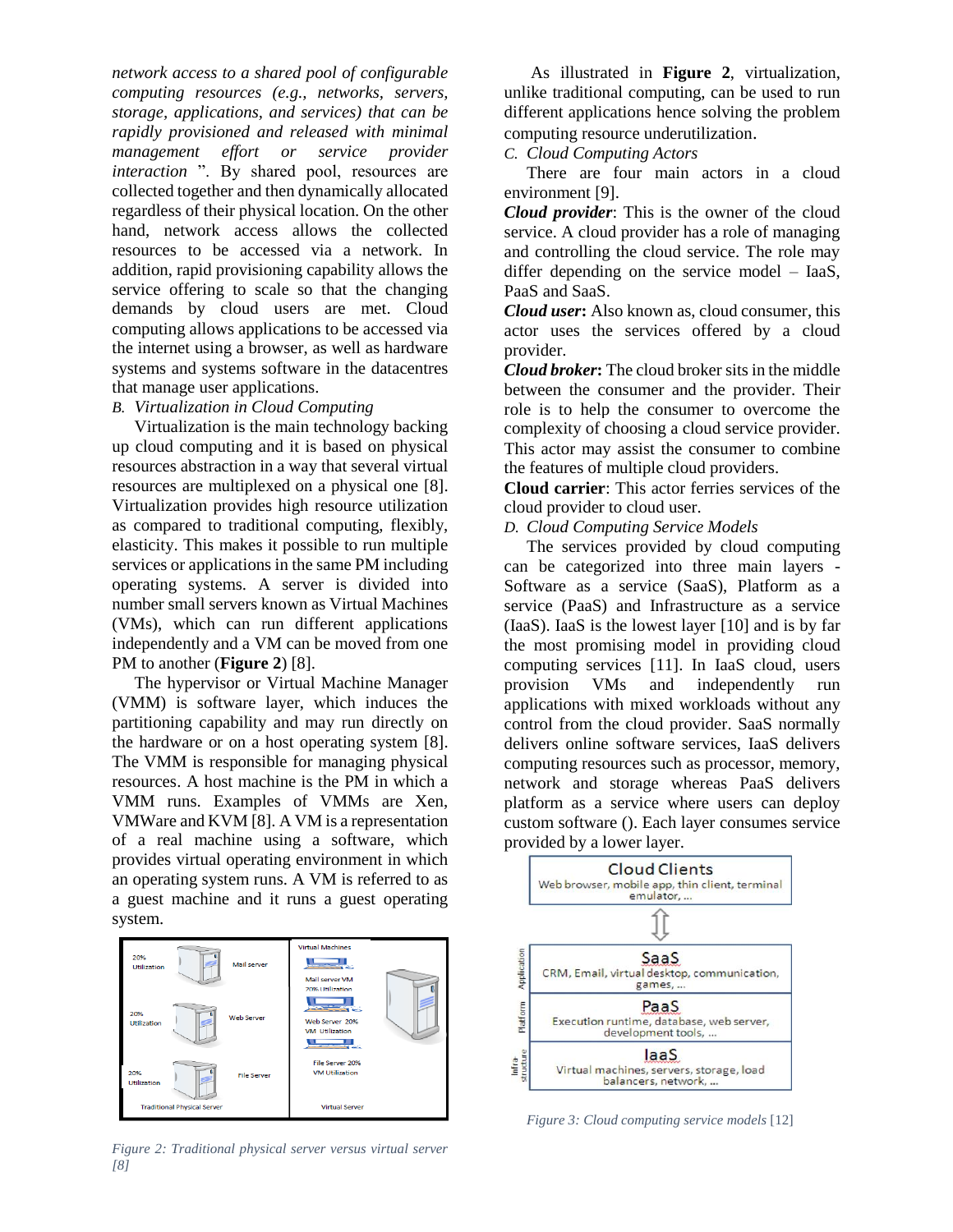*network access to a shared pool of configurable computing resources (e.g., networks, servers, storage, applications, and services) that can be rapidly provisioned and released with minimal management effort or service provider interaction* ". By shared pool, resources are collected together and then dynamically allocated regardless of their physical location. On the other hand, network access allows the collected resources to be accessed via a network. In addition, rapid provisioning capability allows the service offering to scale so that the changing demands by cloud users are met. Cloud computing allows applications to be accessed via the internet using a browser, as well as hardware systems and systems software in the datacentres that manage user applications.

#### *B. Virtualization in Cloud Computing*

Virtualization is the main technology backing up cloud computing and it is based on physical resources abstraction in a way that several virtual resources are multiplexed on a physical one [8]. Virtualization provides high resource utilization as compared to traditional computing, flexibly, elasticity. This makes it possible to run multiple services or applications in the same PM including operating systems. A server is divided into number small servers known as Virtual Machines (VMs), which can run different applications independently and a VM can be moved from one PM to another (**[Figure 2](#page-1-0)**) [8].

The hypervisor or Virtual Machine Manager (VMM) is software layer, which induces the partitioning capability and may run directly on the hardware or on a host operating system [8]. The VMM is responsible for managing physical resources. A host machine is the PM in which a VMM runs. Examples of VMMs are Xen, VMWare and KVM [8]. A VM is a representation of a real machine using a software, which provides virtual operating environment in which an operating system runs. A VM is referred to as a guest machine and it runs a guest operating system.



<span id="page-1-0"></span>*Figure 2: Traditional physical server versus virtual server [8]*

As illustrated in **[Figure 2](#page-1-0)**, virtualization, unlike traditional computing, can be used to run different applications hence solving the problem computing resource underutilization.

# *C. Cloud Computing Actors*

There are four main actors in a cloud environment [9].

*Cloud provider*: This is the owner of the cloud service. A cloud provider has a role of managing and controlling the cloud service. The role may differ depending on the service model – IaaS, PaaS and SaaS.

*Cloud user***:** Also known as, cloud consumer, this actor uses the services offered by a cloud provider.

*Cloud broker***:** The cloud broker sits in the middle between the consumer and the provider. Their role is to help the consumer to overcome the complexity of choosing a cloud service provider. This actor may assist the consumer to combine the features of multiple cloud providers.

**Cloud carrier**: This actor ferries services of the cloud provider to cloud user.

#### *D. Cloud Computing Service Models*

The services provided by cloud computing can be categorized into three main layers - Software as a service (SaaS), Platform as a service (PaaS) and Infrastructure as a service (IaaS). IaaS is the lowest layer [10] and is by far the most promising model in providing cloud computing services [11]. In IaaS cloud, users provision VMs and independently run applications with mixed workloads without any control from the cloud provider. SaaS normally delivers online software services, IaaS delivers computing resources such as processor, memory, network and storage whereas PaaS delivers platform as a service where users can deploy custom software (). Each layer consumes service provided by a lower layer.



*Figure 3: Cloud computing service models* [12]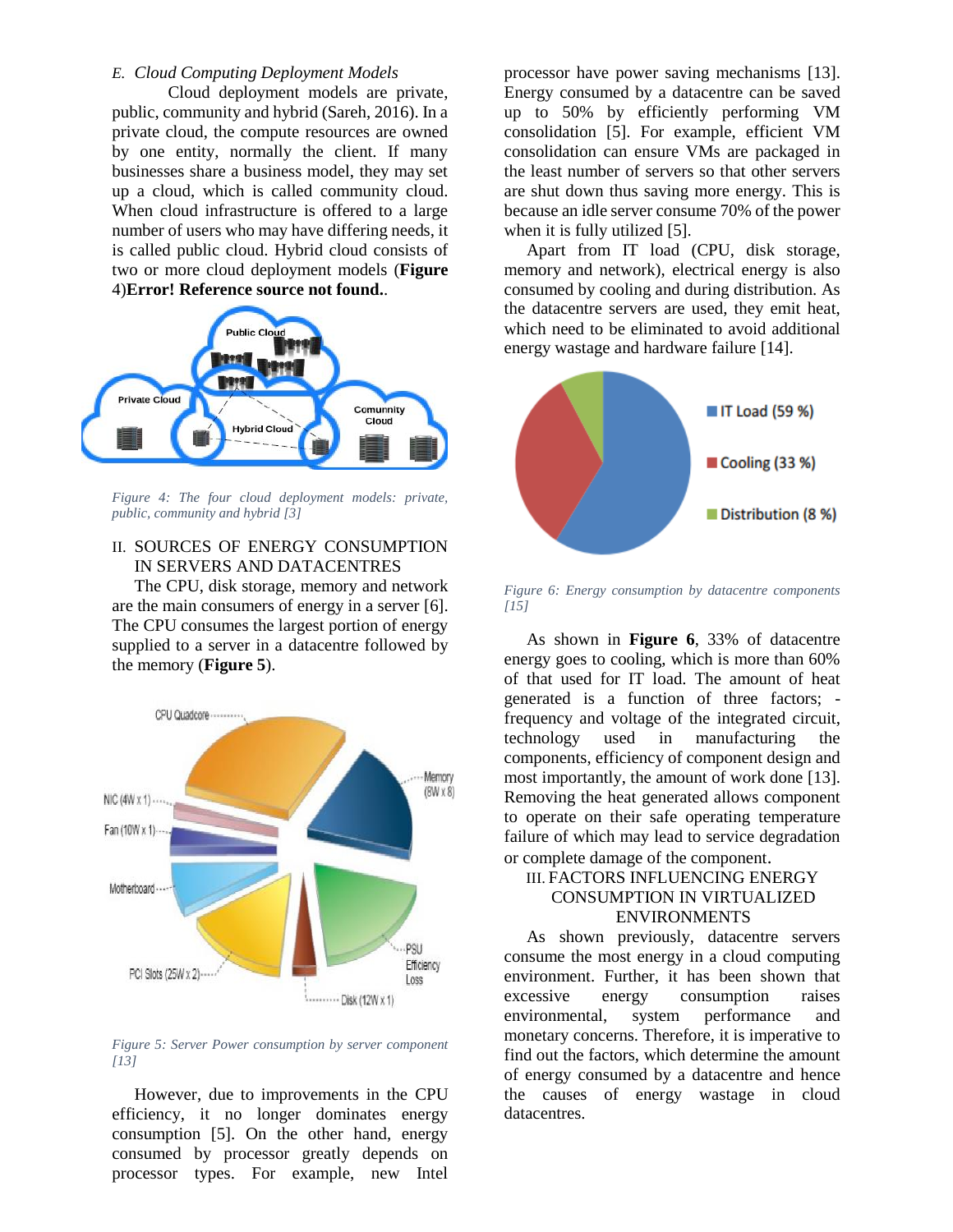#### *E. Cloud Computing Deployment Models*

Cloud deployment models are private, public, community and hybrid (Sareh, 2016). In a private cloud, the compute resources are owned by one entity, normally the client. If many businesses share a business model, they may set up a cloud, which is called community cloud. When cloud infrastructure is offered to a large number of users who may have differing needs, it is called public cloud. Hybrid cloud consists of two or more cloud deployment models (**[Figure](#page-2-0)** [4\)](#page-2-0)**Error! Reference source not found.**.



<span id="page-2-0"></span>*Figure 4: The four cloud deployment models: private, public, community and hybrid [3]*

#### II. SOURCES OF ENERGY CONSUMPTION IN SERVERS AND DATACENTRES

The CPU, disk storage, memory and network are the main consumers of energy in a server [6]. The CPU consumes the largest portion of energy supplied to a server in a datacentre followed by the memory (**[Figure 5](#page-2-1)**).



<span id="page-2-1"></span>*Figure 5: Server Power consumption by server component [13]*

However, due to improvements in the CPU efficiency, it no longer dominates energy consumption [5]. On the other hand, energy consumed by processor greatly depends on processor types. For example, new Intel

processor have power saving mechanisms [13]. Energy consumed by a datacentre can be saved up to 50% by efficiently performing VM consolidation [5]. For example, efficient VM consolidation can ensure VMs are packaged in the least number of servers so that other servers are shut down thus saving more energy. This is because an idle server consume 70% of the power when it is fully utilized [5].

Apart from IT load (CPU, disk storage, memory and network), electrical energy is also consumed by cooling and during distribution. As the datacentre servers are used, they emit heat, which need to be eliminated to avoid additional energy wastage and hardware failure [14].



<span id="page-2-2"></span>*Figure 6: Energy consumption by datacentre components [15]*

As shown in **[Figure 6](#page-2-2)**, 33% of datacentre energy goes to cooling, which is more than 60% of that used for IT load. The amount of heat generated is a function of three factors; frequency and voltage of the integrated circuit, technology used in manufacturing the components, efficiency of component design and most importantly, the amount of work done [13]. Removing the heat generated allows component to operate on their safe operating temperature failure of which may lead to service degradation or complete damage of the component.

### III. FACTORS INFLUENCING ENERGY CONSUMPTION IN VIRTUALIZED ENVIRONMENTS

As shown previously, datacentre servers consume the most energy in a cloud computing environment. Further, it has been shown that excessive energy consumption raises environmental, system performance and monetary concerns. Therefore, it is imperative to find out the factors, which determine the amount of energy consumed by a datacentre and hence the causes of energy wastage in cloud datacentres.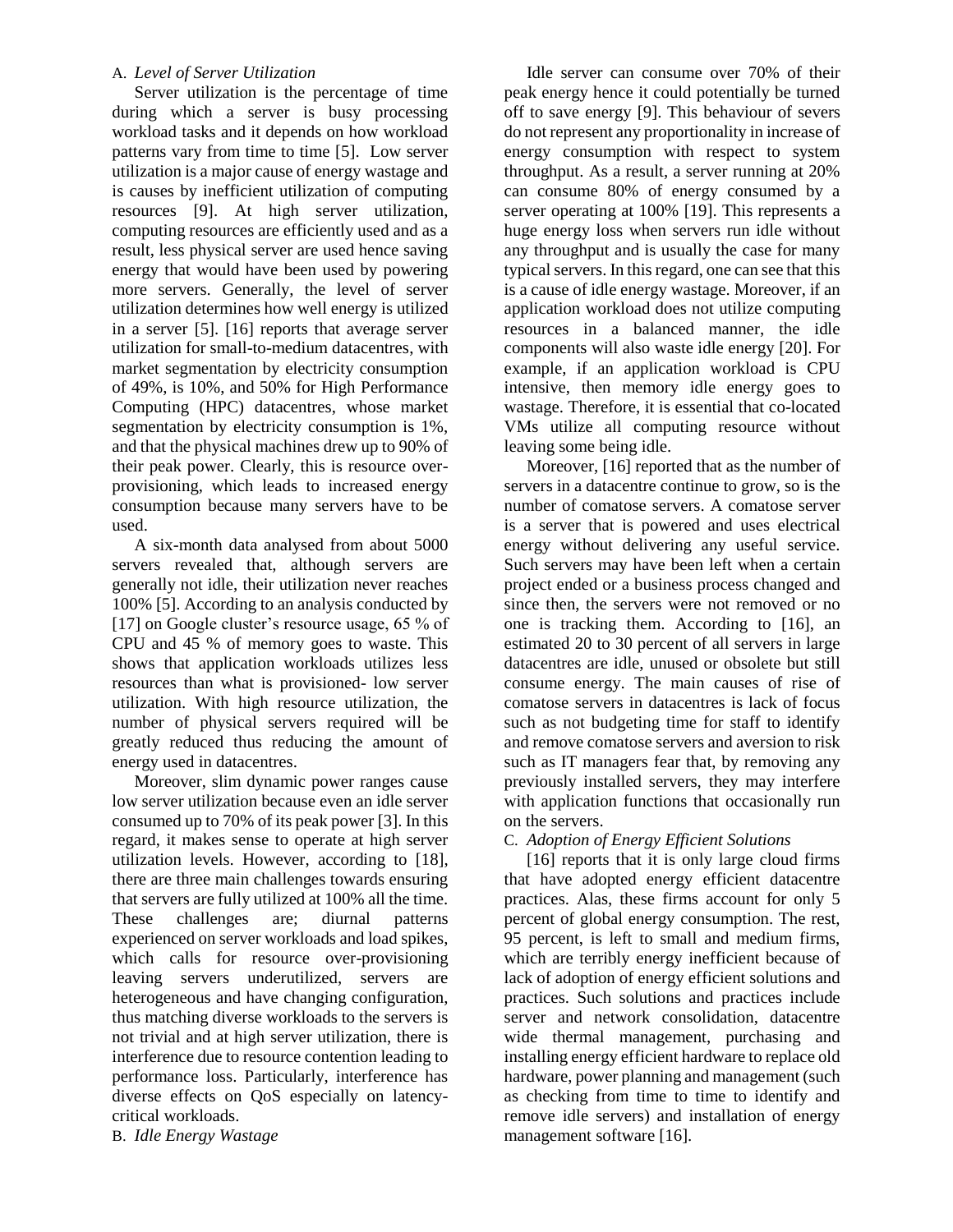# A. *Level of Server Utilization*

Server utilization is the percentage of time during which a server is busy processing workload tasks and it depends on how workload patterns vary from time to time [5]. Low server utilization is a major cause of energy wastage and is causes by inefficient utilization of computing resources [9]. At high server utilization, computing resources are efficiently used and as a result, less physical server are used hence saving energy that would have been used by powering more servers. Generally, the level of server utilization determines how well energy is utilized in a server [5]. [16] reports that average server utilization for small-to-medium datacentres, with market segmentation by electricity consumption of 49%, is 10%, and 50% for High Performance Computing (HPC) datacentres, whose market segmentation by electricity consumption is 1%, and that the physical machines drew up to 90% of their peak power. Clearly, this is resource overprovisioning, which leads to increased energy consumption because many servers have to be used.

A six-month data analysed from about 5000 servers revealed that, although servers are generally not idle, their utilization never reaches 100% [5]. According to an analysis conducted by [17] on Google cluster's resource usage, 65 % of CPU and 45 % of memory goes to waste. This shows that application workloads utilizes less resources than what is provisioned- low server utilization. With high resource utilization, the number of physical servers required will be greatly reduced thus reducing the amount of energy used in datacentres.

Moreover, slim dynamic power ranges cause low server utilization because even an idle server consumed up to 70% of its peak power [3]. In this regard, it makes sense to operate at high server utilization levels. However, according to [18], there are three main challenges towards ensuring that servers are fully utilized at 100% all the time. These challenges are; diurnal patterns experienced on server workloads and load spikes, which calls for resource over-provisioning leaving servers underutilized, servers are heterogeneous and have changing configuration, thus matching diverse workloads to the servers is not trivial and at high server utilization, there is interference due to resource contention leading to performance loss. Particularly, interference has diverse effects on QoS especially on latencycritical workloads.

B. *Idle Energy Wastage* 

Idle server can consume over 70% of their peak energy hence it could potentially be turned off to save energy [9]. This behaviour of severs do not represent any proportionality in increase of energy consumption with respect to system throughput. As a result, a server running at 20% can consume 80% of energy consumed by a server operating at 100% [19]. This represents a huge energy loss when servers run idle without any throughput and is usually the case for many typical servers. In this regard, one can see that this is a cause of idle energy wastage. Moreover, if an application workload does not utilize computing resources in a balanced manner, the idle components will also waste idle energy [20]. For example, if an application workload is CPU intensive, then memory idle energy goes to wastage. Therefore, it is essential that co-located VMs utilize all computing resource without leaving some being idle.

Moreover, [16] reported that as the number of servers in a datacentre continue to grow, so is the number of comatose servers. A comatose server is a server that is powered and uses electrical energy without delivering any useful service. Such servers may have been left when a certain project ended or a business process changed and since then, the servers were not removed or no one is tracking them. According to [16], an estimated 20 to 30 percent of all servers in large datacentres are idle, unused or obsolete but still consume energy. The main causes of rise of comatose servers in datacentres is lack of focus such as not budgeting time for staff to identify and remove comatose servers and aversion to risk such as IT managers fear that, by removing any previously installed servers, they may interfere with application functions that occasionally run on the servers.

#### C. *Adoption of Energy Efficient Solutions*

[16] reports that it is only large cloud firms that have adopted energy efficient datacentre practices. Alas, these firms account for only 5 percent of global energy consumption. The rest, 95 percent, is left to small and medium firms, which are terribly energy inefficient because of lack of adoption of energy efficient solutions and practices. Such solutions and practices include server and network consolidation, datacentre wide thermal management, purchasing and installing energy efficient hardware to replace old hardware, power planning and management (such as checking from time to time to identify and remove idle servers) and installation of energy management software [16].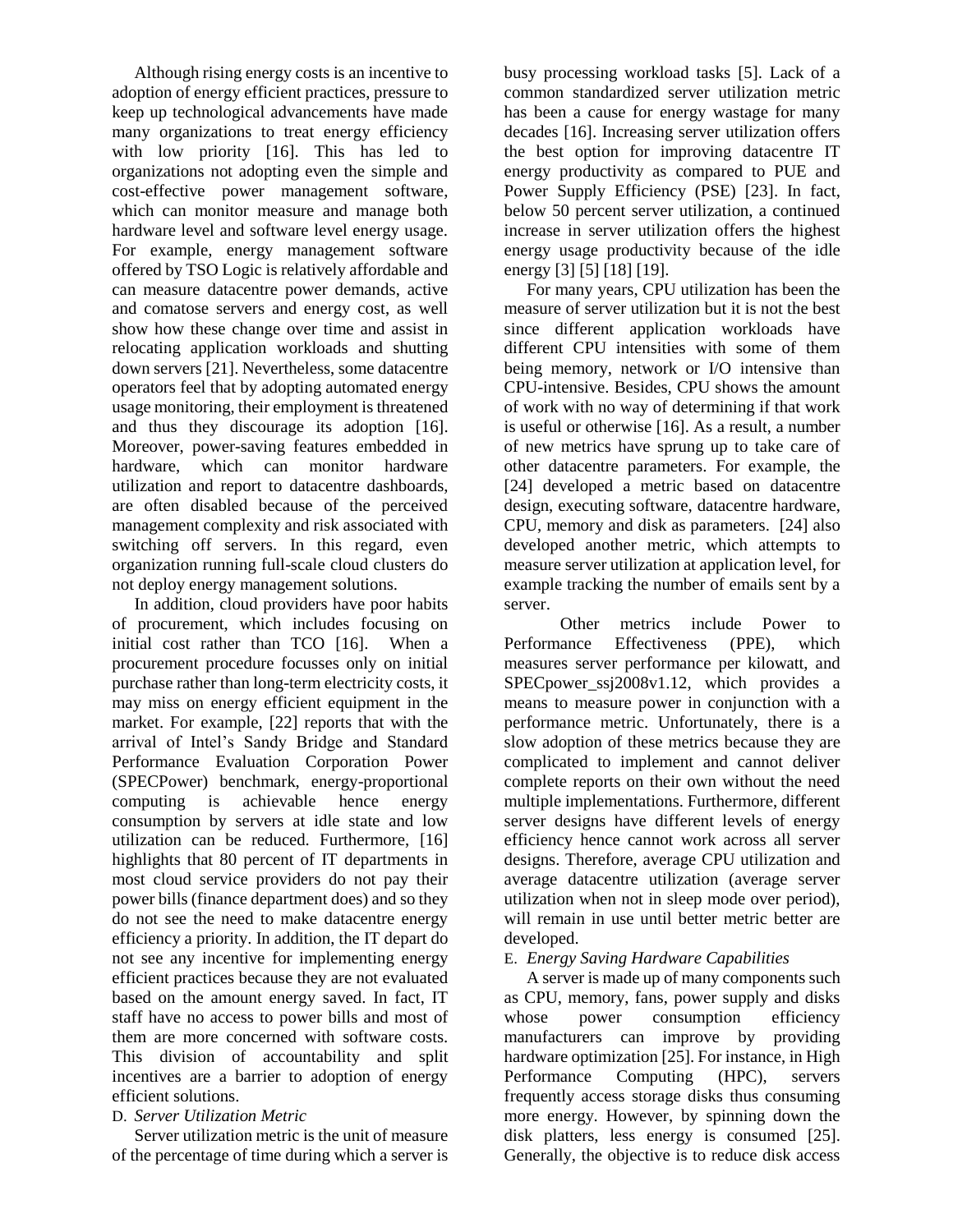Although rising energy costs is an incentive to adoption of energy efficient practices, pressure to keep up technological advancements have made many organizations to treat energy efficiency with low priority [16]. This has led to organizations not adopting even the simple and cost-effective power management software, which can monitor measure and manage both hardware level and software level energy usage. For example, energy management software offered by TSO Logic is relatively affordable and can measure datacentre power demands, active and comatose servers and energy cost, as well show how these change over time and assist in relocating application workloads and shutting down servers [21]. Nevertheless, some datacentre operators feel that by adopting automated energy usage monitoring, their employment is threatened and thus they discourage its adoption [16]. Moreover, power-saving features embedded in hardware, which can monitor hardware utilization and report to datacentre dashboards, are often disabled because of the perceived management complexity and risk associated with switching off servers. In this regard, even organization running full-scale cloud clusters do not deploy energy management solutions.

In addition, cloud providers have poor habits of procurement, which includes focusing on initial cost rather than TCO [16]. When a procurement procedure focusses only on initial purchase rather than long-term electricity costs, it may miss on energy efficient equipment in the market. For example, [22] reports that with the arrival of Intel's Sandy Bridge and Standard Performance Evaluation Corporation Power (SPECPower) benchmark, energy-proportional computing is achievable hence energy consumption by servers at idle state and low utilization can be reduced. Furthermore, [16] highlights that 80 percent of IT departments in most cloud service providers do not pay their power bills (finance department does) and so they do not see the need to make datacentre energy efficiency a priority. In addition, the IT depart do not see any incentive for implementing energy efficient practices because they are not evaluated based on the amount energy saved. In fact, IT staff have no access to power bills and most of them are more concerned with software costs. This division of accountability and split incentives are a barrier to adoption of energy efficient solutions.

#### D. *Server Utilization Metric*

Server utilization metric is the unit of measure of the percentage of time during which a server is

busy processing workload tasks [5]. Lack of a common standardized server utilization metric has been a cause for energy wastage for many decades [16]. Increasing server utilization offers the best option for improving datacentre IT energy productivity as compared to PUE and Power Supply Efficiency (PSE) [23]. In fact, below 50 percent server utilization, a continued increase in server utilization offers the highest energy usage productivity because of the idle energy [3] [5] [18] [19].

For many years, CPU utilization has been the measure of server utilization but it is not the best since different application workloads have different CPU intensities with some of them being memory, network or I/O intensive than CPU-intensive. Besides, CPU shows the amount of work with no way of determining if that work is useful or otherwise [16]. As a result, a number of new metrics have sprung up to take care of other datacentre parameters. For example, the [24] developed a metric based on datacentre design, executing software, datacentre hardware, CPU, memory and disk as parameters. [24] also developed another metric, which attempts to measure server utilization at application level, for example tracking the number of emails sent by a server.

Other metrics include Power to Performance Effectiveness (PPE), which measures server performance per kilowatt, and SPECpower\_ssj2008v1.12, which provides a means to measure power in conjunction with a performance metric. Unfortunately, there is a slow adoption of these metrics because they are complicated to implement and cannot deliver complete reports on their own without the need multiple implementations. Furthermore, different server designs have different levels of energy efficiency hence cannot work across all server designs. Therefore, average CPU utilization and average datacentre utilization (average server utilization when not in sleep mode over period), will remain in use until better metric better are developed.

#### E. *Energy Saving Hardware Capabilities*

A server is made up of many components such as CPU, memory, fans, power supply and disks whose power consumption efficiency manufacturers can improve by providing hardware optimization [25]. For instance, in High Performance Computing (HPC), servers frequently access storage disks thus consuming more energy. However, by spinning down the disk platters, less energy is consumed [25]. Generally, the objective is to reduce disk access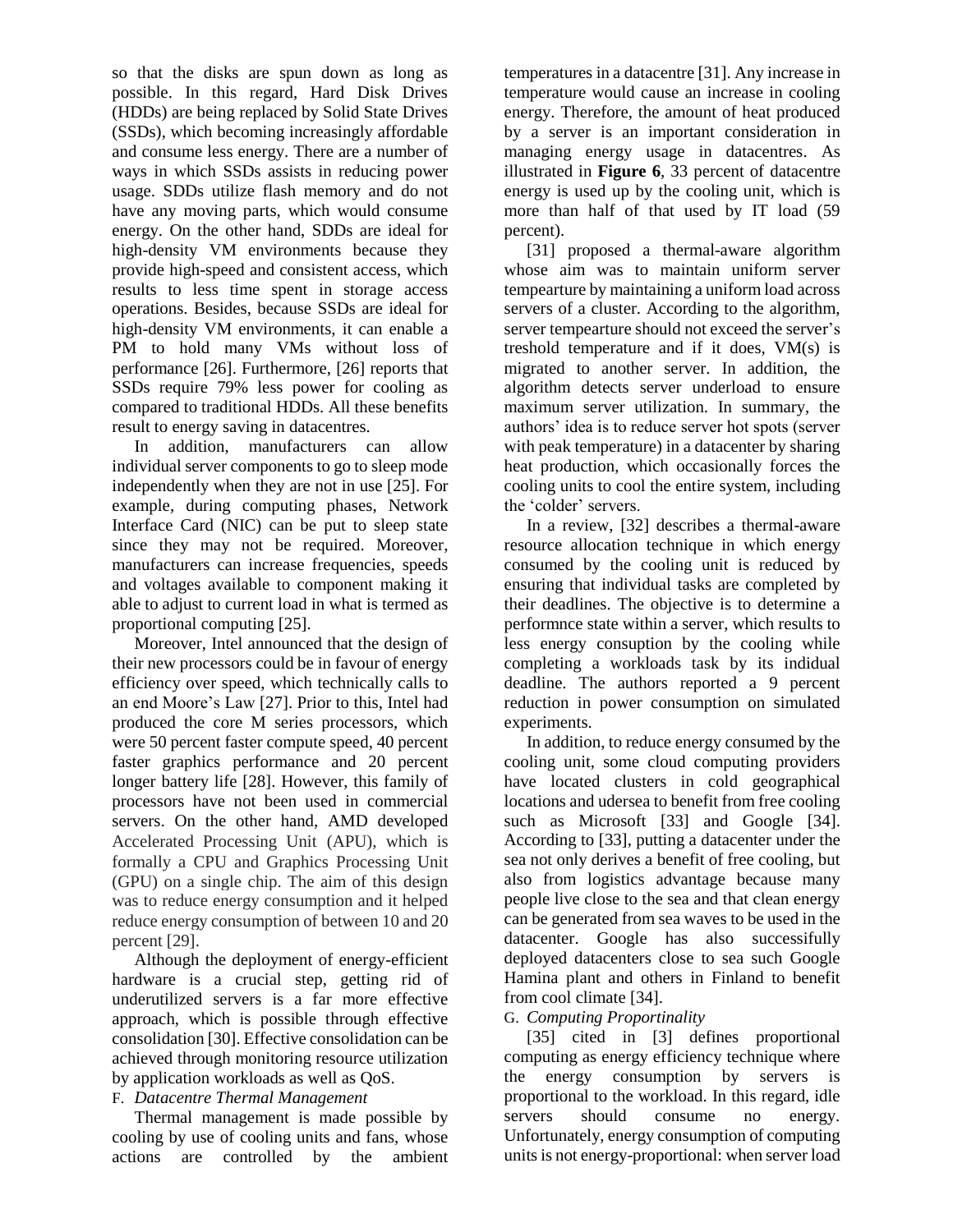so that the disks are spun down as long as possible. In this regard, Hard Disk Drives (HDDs) are being replaced by Solid State Drives (SSDs), which becoming increasingly affordable and consume less energy. There are a number of ways in which SSDs assists in reducing power usage. SDDs utilize flash memory and do not have any moving parts, which would consume energy. On the other hand, SDDs are ideal for high-density VM environments because they provide high-speed and consistent access, which results to less time spent in storage access operations. Besides, because SSDs are ideal for high-density VM environments, it can enable a PM to hold many VMs without loss of performance [26]. Furthermore, [26] reports that SSDs require 79% less power for cooling as compared to traditional HDDs. All these benefits result to energy saving in datacentres.

In addition, manufacturers can allow individual server components to go to sleep mode independently when they are not in use [25]. For example, during computing phases, Network Interface Card (NIC) can be put to sleep state since they may not be required. Moreover, manufacturers can increase frequencies, speeds and voltages available to component making it able to adjust to current load in what is termed as proportional computing [25].

Moreover, Intel announced that the design of their new processors could be in favour of energy efficiency over speed, which technically calls to an end Moore's Law [27]. Prior to this, Intel had produced the core M series processors, which were 50 percent faster compute speed, 40 percent faster graphics performance and 20 percent longer battery life [28]. However, this family of processors have not been used in commercial servers. On the other hand, AMD developed Accelerated Processing Unit (APU), which is formally a CPU and Graphics Processing Unit (GPU) on a single chip. The aim of this design was to reduce energy consumption and it helped reduce energy consumption of between 10 and 20 percent [29].

Although the deployment of energy-efficient hardware is a crucial step, getting rid of underutilized servers is a far more effective approach, which is possible through effective consolidation [30]. Effective consolidation can be achieved through monitoring resource utilization by application workloads as well as QoS.

#### F. *Datacentre Thermal Management*

Thermal management is made possible by cooling by use of cooling units and fans, whose actions are controlled by the ambient

temperatures in a datacentre [31]. Any increase in temperature would cause an increase in cooling energy. Therefore, the amount of heat produced by a server is an important consideration in managing energy usage in datacentres. As illustrated in **[Figure 6](#page-2-2)**, 33 percent of datacentre energy is used up by the cooling unit, which is more than half of that used by IT load (59 percent).

[31] proposed a thermal-aware algorithm whose aim was to maintain uniform server tempearture by maintaining a uniform load across servers of a cluster. According to the algorithm, server tempearture should not exceed the server's treshold temperature and if it does, VM(s) is migrated to another server. In addition, the algorithm detects server underload to ensure maximum server utilization. In summary, the authors' idea is to reduce server hot spots (server with peak temperature) in a datacenter by sharing heat production, which occasionally forces the cooling units to cool the entire system, including the 'colder' servers.

In a review, [32] describes a thermal-aware resource allocation technique in which energy consumed by the cooling unit is reduced by ensuring that individual tasks are completed by their deadlines. The objective is to determine a performnce state within a server, which results to less energy consuption by the cooling while completing a workloads task by its indidual deadline. The authors reported a 9 percent reduction in power consumption on simulated experiments.

In addition, to reduce energy consumed by the cooling unit, some cloud computing providers have located clusters in cold geographical locations and udersea to benefit from free cooling such as Microsoft [33] and Google [34]. According to [33], putting a datacenter under the sea not only derives a benefit of free cooling, but also from logistics advantage because many people live close to the sea and that clean energy can be generated from sea waves to be used in the datacenter. Google has also successifully deployed datacenters close to sea such Google Hamina plant and others in Finland to benefit from cool climate [34].

#### G. *Computing Proportinality*

[35] cited in [3] defines proportional computing as energy efficiency technique where the energy consumption by servers is proportional to the workload. In this regard, idle servers should consume no energy. Unfortunately, energy consumption of computing units is not energy-proportional: when server load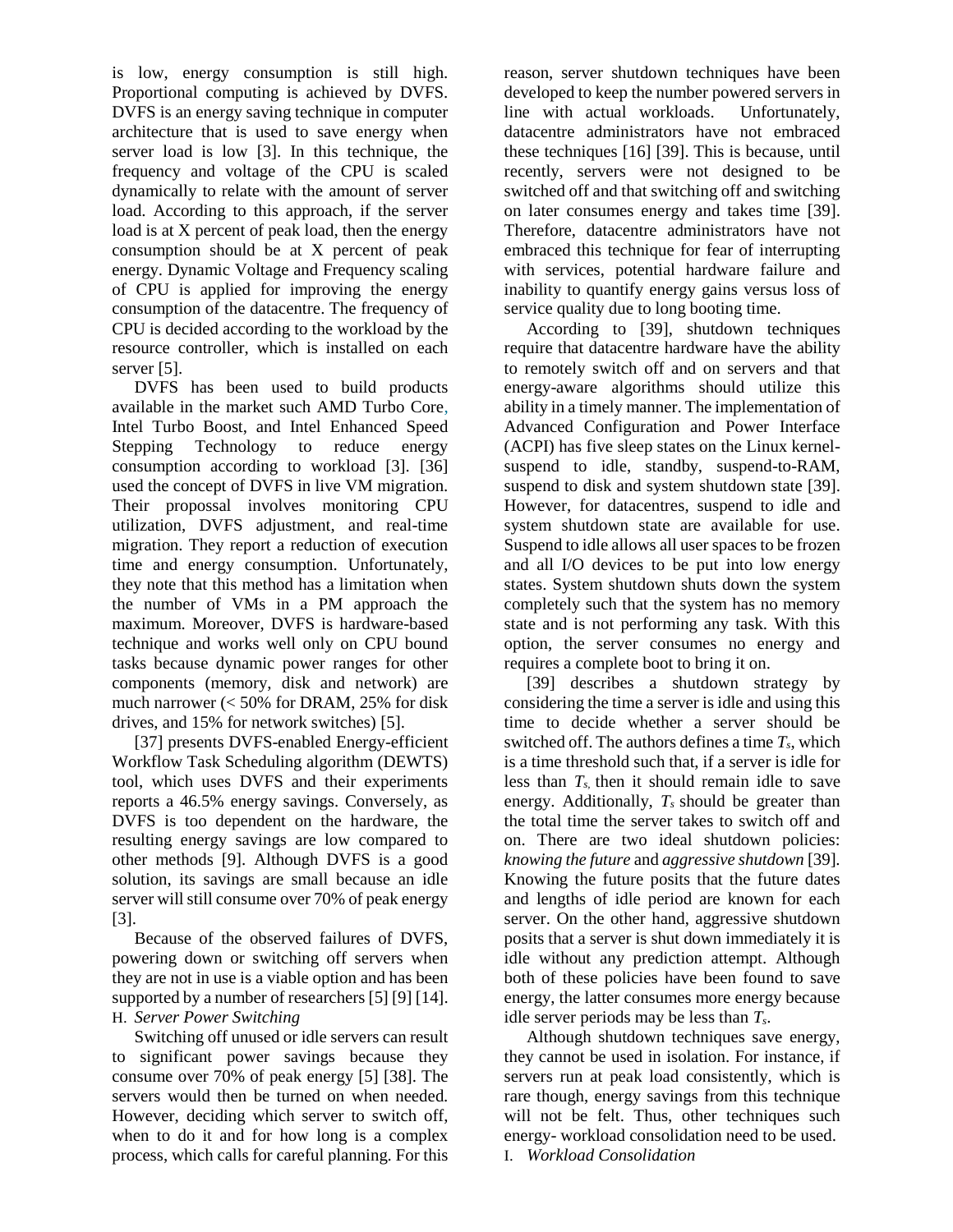is low, energy consumption is still high. Proportional computing is achieved by DVFS. DVFS is an energy saving technique in computer architecture that is used to save energy when server load is low [3]. In this technique, the frequency and voltage of the CPU is scaled dynamically to relate with the amount of server load. According to this approach, if the server load is at X percent of peak load, then the energy consumption should be at X percent of peak energy. Dynamic Voltage and Frequency scaling of CPU is applied for improving the energy consumption of the datacentre. The frequency of CPU is decided according to the workload by the resource controller, which is installed on each server [5].

DVFS has been used to build products available in the market such AMD Turbo Core, Intel Turbo Boost, and Intel Enhanced Speed Stepping Technology to reduce energy consumption according to workload [3]. [36] used the concept of DVFS in live VM migration. Their propossal involves monitoring CPU utilization, DVFS adjustment, and real-time migration. They report a reduction of execution time and energy consumption. Unfortunately, they note that this method has a limitation when the number of VMs in a PM approach the maximum. Moreover, DVFS is hardware-based technique and works well only on CPU bound tasks because dynamic power ranges for other components (memory, disk and network) are much narrower (< 50% for DRAM, 25% for disk drives, and 15% for network switches) [5].

[37] presents DVFS-enabled Energy-efficient Workflow Task Scheduling algorithm (DEWTS) tool, which uses DVFS and their experiments reports a 46.5% energy savings. Conversely, as DVFS is too dependent on the hardware, the resulting energy savings are low compared to other methods [9]. Although DVFS is a good solution, its savings are small because an idle server will still consume over 70% of peak energy [3].

Because of the observed failures of DVFS, powering down or switching off servers when they are not in use is a viable option and has been supported by a number of researchers [5] [9] [14]. H. *Server Power Switching*

Switching off unused or idle servers can result to significant power savings because they consume over 70% of peak energy [5] [38]. The servers would then be turned on when needed. However, deciding which server to switch off, when to do it and for how long is a complex process, which calls for careful planning. For this

reason, server shutdown techniques have been developed to keep the number powered servers in line with actual workloads. Unfortunately, datacentre administrators have not embraced these techniques [16] [39]. This is because, until recently, servers were not designed to be switched off and that switching off and switching on later consumes energy and takes time [39]. Therefore, datacentre administrators have not embraced this technique for fear of interrupting with services, potential hardware failure and inability to quantify energy gains versus loss of service quality due to long booting time.

According to [39], shutdown techniques require that datacentre hardware have the ability to remotely switch off and on servers and that energy-aware algorithms should utilize this ability in a timely manner. The implementation of Advanced Configuration and Power Interface (ACPI) has five sleep states on the Linux kernelsuspend to idle, standby, suspend-to-RAM, suspend to disk and system shutdown state [39]. However, for datacentres, suspend to idle and system shutdown state are available for use. Suspend to idle allows all user spaces to be frozen and all I/O devices to be put into low energy states. System shutdown shuts down the system completely such that the system has no memory state and is not performing any task. With this option, the server consumes no energy and requires a complete boot to bring it on.

[39] describes a shutdown strategy by considering the time a server is idle and using this time to decide whether a server should be switched off. The authors defines a time *Ts*, which is a time threshold such that, if a server is idle for less than  $T<sub>s</sub>$  then it should remain idle to save energy. Additionally, *Ts* should be greater than the total time the server takes to switch off and on. There are two ideal shutdown policies: *knowing the future* and *aggressive shutdown* [39]*.*  Knowing the future posits that the future dates and lengths of idle period are known for each server. On the other hand, aggressive shutdown posits that a server is shut down immediately it is idle without any prediction attempt. Although both of these policies have been found to save energy, the latter consumes more energy because idle server periods may be less than *Ts*.

Although shutdown techniques save energy, they cannot be used in isolation. For instance, if servers run at peak load consistently, which is rare though, energy savings from this technique will not be felt. Thus, other techniques such energy- workload consolidation need to be used. I. *Workload Consolidation*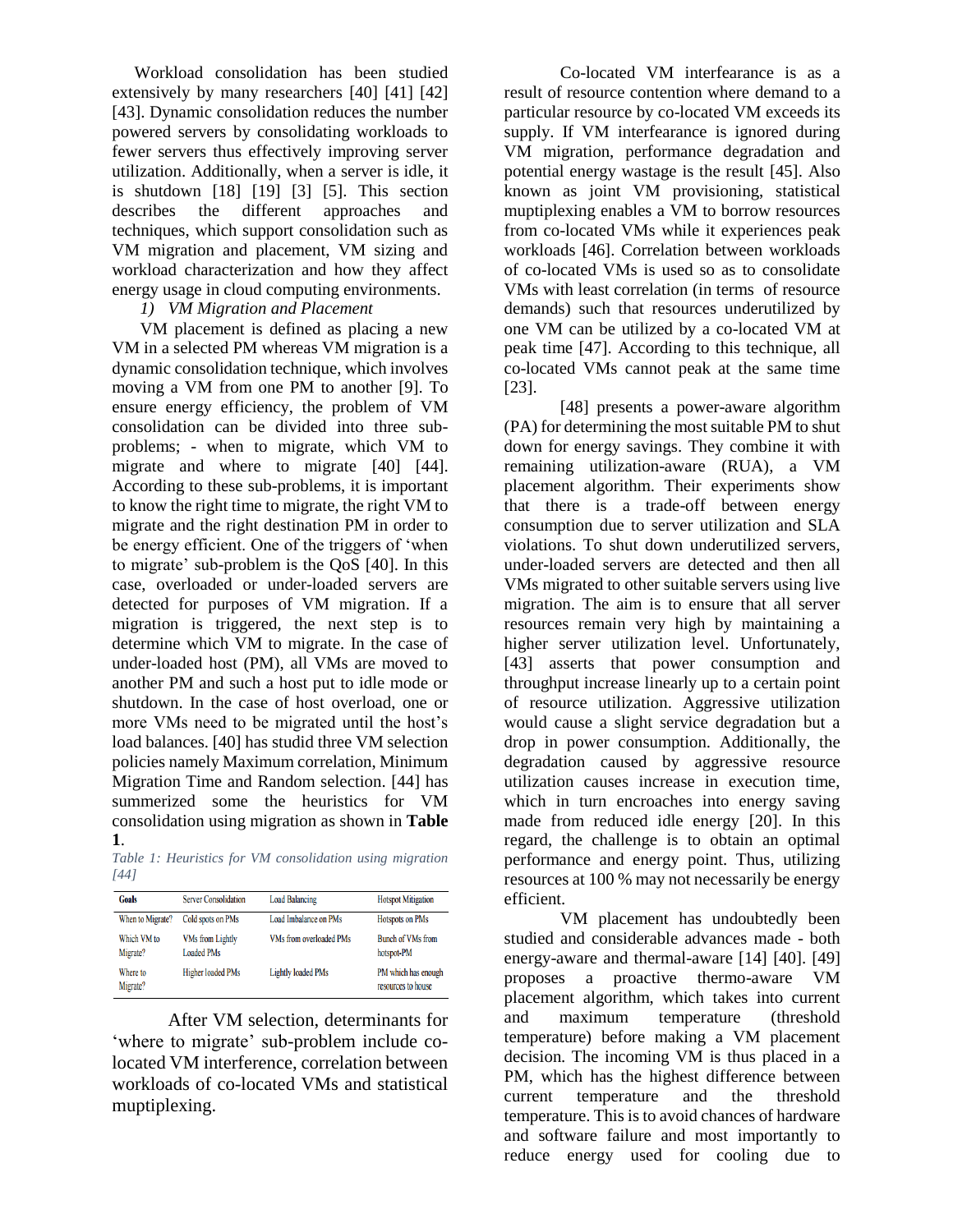Workload consolidation has been studied extensively by many researchers [40] [41] [42] [43]. Dynamic consolidation reduces the number powered servers by consolidating workloads to fewer servers thus effectively improving server utilization. Additionally, when a server is idle, it is shutdown [18] [19] [3] [5]. This section describes the different approaches and techniques, which support consolidation such as VM migration and placement, VM sizing and workload characterization and how they affect energy usage in cloud computing environments.

#### *1) VM Migration and Placement*

VM placement is defined as placing a new VM in a selected PM whereas VM migration is a dynamic consolidation technique, which involves moving a VM from one PM to another [9]. To ensure energy efficiency, the problem of VM consolidation can be divided into three subproblems; - when to migrate, which VM to migrate and where to migrate [40] [44]. According to these sub-problems, it is important to know the right time to migrate, the right VM to migrate and the right destination PM in order to be energy efficient. One of the triggers of 'when to migrate' sub-problem is the QoS [40]. In this case, overloaded or under-loaded servers are detected for purposes of VM migration. If a migration is triggered, the next step is to determine which VM to migrate. In the case of under-loaded host (PM), all VMs are moved to another PM and such a host put to idle mode or shutdown. In the case of host overload, one or more VMs need to be migrated until the host's load balances. [40] has studid three VM selection policies namely Maximum correlation, Minimum Migration Time and Random selection. [44] has summerized some the heuristics for VM consolidation using migration as shown in **[Table](#page-7-0)  [1](#page-7-0)**.

<span id="page-7-0"></span>*Table 1: Heuristics for VM consolidation using migration [44]*

| <b>Goals</b>            | <b>Server Consolidation</b>                  | <b>Load Balancing</b>          | <b>Hotspot Mitigation</b>                 |
|-------------------------|----------------------------------------------|--------------------------------|-------------------------------------------|
| When to Migrate?        | Cold spots on PMs                            | <b>Load Imbalance on PMs</b>   | <b>Hotspots on PMs</b>                    |
| Which VM to<br>Migrate? | <b>VMs from Lightly</b><br><b>Loaded PMs</b> | <b>VMs from overloaded PMs</b> | <b>Bunch of VMs from</b><br>hotspot-PM    |
| Where to<br>Migrate?    | Higher loaded PMs                            | <b>Lightly loaded PMs</b>      | PM which has enough<br>resources to house |

After VM selection, determinants for 'where to migrate' sub-problem include colocated VM interference, correlation between workloads of co-located VMs and statistical muptiplexing.

Co-located VM interfearance is as a result of resource contention where demand to a particular resource by co-located VM exceeds its supply. If VM interfearance is ignored during VM migration, performance degradation and potential energy wastage is the result [45]. Also known as joint VM provisioning, statistical muptiplexing enables a VM to borrow resources from co-located VMs while it experiences peak workloads [46]. Correlation between workloads of co-located VMs is used so as to consolidate VMs with least correlation (in terms of resource demands) such that resources underutilized by one VM can be utilized by a co-located VM at peak time [47]. According to this technique, all co-located VMs cannot peak at the same time [23].

[48] presents a power-aware algorithm (PA) for determining the most suitable PM to shut down for energy savings. They combine it with remaining utilization-aware (RUA), a VM placement algorithm. Their experiments show that there is a trade-off between energy consumption due to server utilization and SLA violations. To shut down underutilized servers, under-loaded servers are detected and then all VMs migrated to other suitable servers using live migration. The aim is to ensure that all server resources remain very high by maintaining a higher server utilization level. Unfortunately, [43] asserts that power consumption and throughput increase linearly up to a certain point of resource utilization. Aggressive utilization would cause a slight service degradation but a drop in power consumption. Additionally, the degradation caused by aggressive resource utilization causes increase in execution time, which in turn encroaches into energy saving made from reduced idle energy [20]. In this regard, the challenge is to obtain an optimal performance and energy point. Thus, utilizing resources at 100 % may not necessarily be energy efficient.

VM placement has undoubtedly been studied and considerable advances made - both energy-aware and thermal-aware [14] [40]. [49] proposes a proactive thermo-aware VM placement algorithm, which takes into current and maximum temperature (threshold temperature) before making a VM placement decision. The incoming VM is thus placed in a PM, which has the highest difference between current temperature and the threshold temperature. This is to avoid chances of hardware and software failure and most importantly to reduce energy used for cooling due to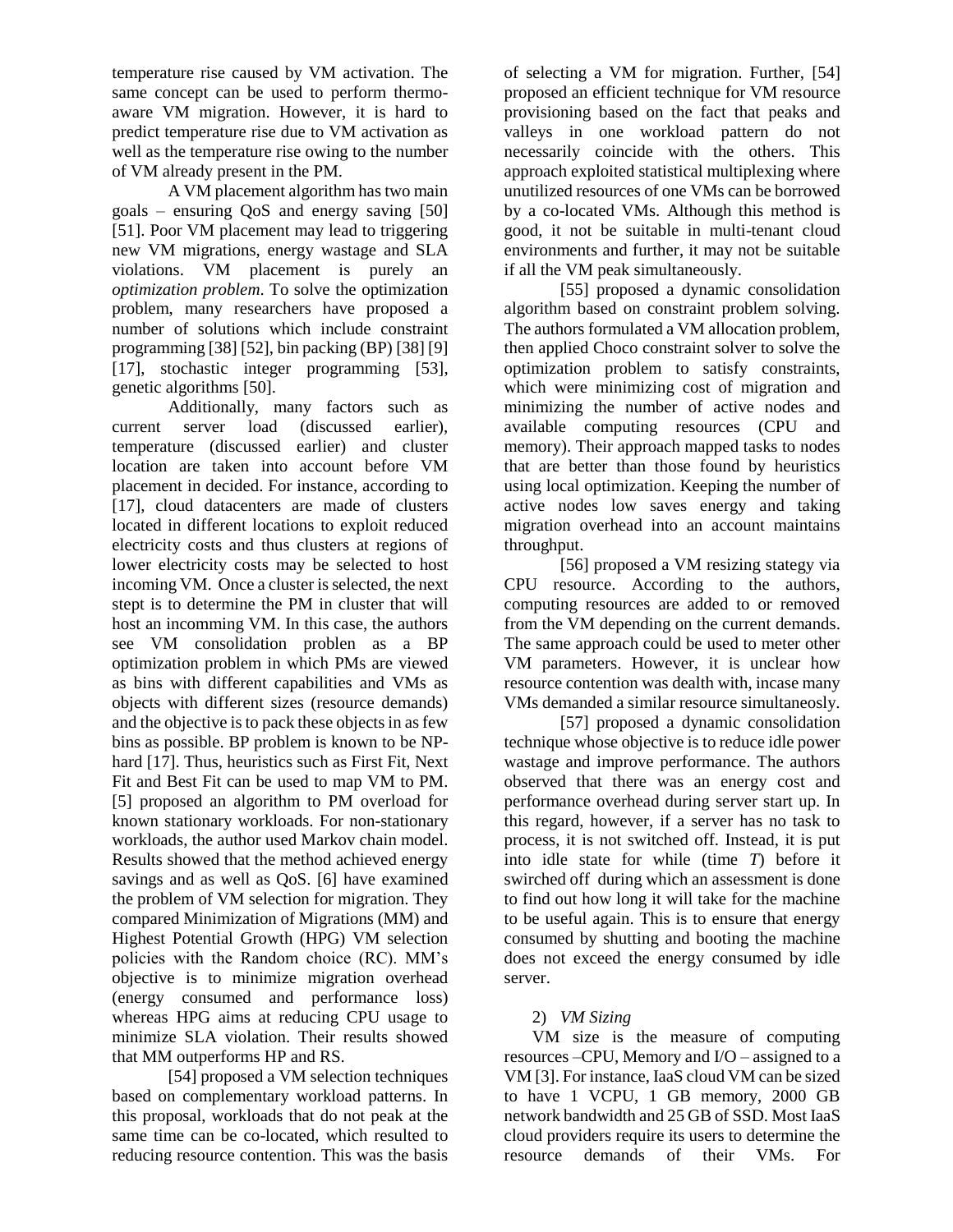temperature rise caused by VM activation. The same concept can be used to perform thermoaware VM migration. However, it is hard to predict temperature rise due to VM activation as well as the temperature rise owing to the number of VM already present in the PM.

A VM placement algorithm has two main goals – ensuring QoS and energy saving [50] [51]. Poor VM placement may lead to triggering new VM migrations, energy wastage and SLA violations. VM placement is purely an *optimization problem*. To solve the optimization problem, many researchers have proposed a number of solutions which include constraint programming [38] [52], bin packing (BP) [38] [9] [17], stochastic integer programming [53], genetic algorithms [50].

Additionally, many factors such as current server load (discussed earlier), temperature (discussed earlier) and cluster location are taken into account before VM placement in decided. For instance, according to [17], cloud datacenters are made of clusters located in different locations to exploit reduced electricity costs and thus clusters at regions of lower electricity costs may be selected to host incoming VM. Once a cluster is selected, the next stept is to determine the PM in cluster that will host an incomming VM. In this case, the authors see VM consolidation problen as a BP optimization problem in which PMs are viewed as bins with different capabilities and VMs as objects with different sizes (resource demands) and the objective is to pack these objects in as few bins as possible. BP problem is known to be NPhard [17]. Thus, heuristics such as First Fit, Next Fit and Best Fit can be used to map VM to PM. [5] proposed an algorithm to PM overload for known stationary workloads. For non-stationary workloads, the author used Markov chain model. Results showed that the method achieved energy savings and as well as QoS. [6] have examined the problem of VM selection for migration. They compared Minimization of Migrations (MM) and Highest Potential Growth (HPG) VM selection policies with the Random choice (RC). MM's objective is to minimize migration overhead (energy consumed and performance loss) whereas HPG aims at reducing CPU usage to minimize SLA violation. Their results showed that MM outperforms HP and RS.

[54] proposed a VM selection techniques based on complementary workload patterns. In this proposal, workloads that do not peak at the same time can be co-located, which resulted to reducing resource contention. This was the basis

of selecting a VM for migration. Further, [54] proposed an efficient technique for VM resource provisioning based on the fact that peaks and valleys in one workload pattern do not necessarily coincide with the others. This approach exploited statistical multiplexing where unutilized resources of one VMs can be borrowed by a co-located VMs. Although this method is good, it not be suitable in multi-tenant cloud environments and further, it may not be suitable if all the VM peak simultaneously.

[55] proposed a dynamic consolidation algorithm based on constraint problem solving. The authors formulated a VM allocation problem, then applied Choco constraint solver to solve the optimization problem to satisfy constraints, which were minimizing cost of migration and minimizing the number of active nodes and available computing resources (CPU and memory). Their approach mapped tasks to nodes that are better than those found by heuristics using local optimization. Keeping the number of active nodes low saves energy and taking migration overhead into an account maintains throughput.

[56] proposed a VM resizing stategy via CPU resource. According to the authors, computing resources are added to or removed from the VM depending on the current demands. The same approach could be used to meter other VM parameters. However, it is unclear how resource contention was dealth with, incase many VMs demanded a similar resource simultaneosly.

[57] proposed a dynamic consolidation technique whose objective is to reduce idle power wastage and improve performance. The authors observed that there was an energy cost and performance overhead during server start up. In this regard, however, if a server has no task to process, it is not switched off. Instead, it is put into idle state for while (time *T*) before it swirched off during which an assessment is done to find out how long it will take for the machine to be useful again. This is to ensure that energy consumed by shutting and booting the machine does not exceed the energy consumed by idle server.

#### 2) *VM Sizing*

VM size is the measure of computing resources –CPU, Memory and I/O – assigned to a VM [3]. For instance, IaaS cloud VM can be sized to have 1 VCPU, 1 GB memory, 2000 GB network bandwidth and 25 GB of SSD. Most IaaS cloud providers require its users to determine the resource demands of their VMs. For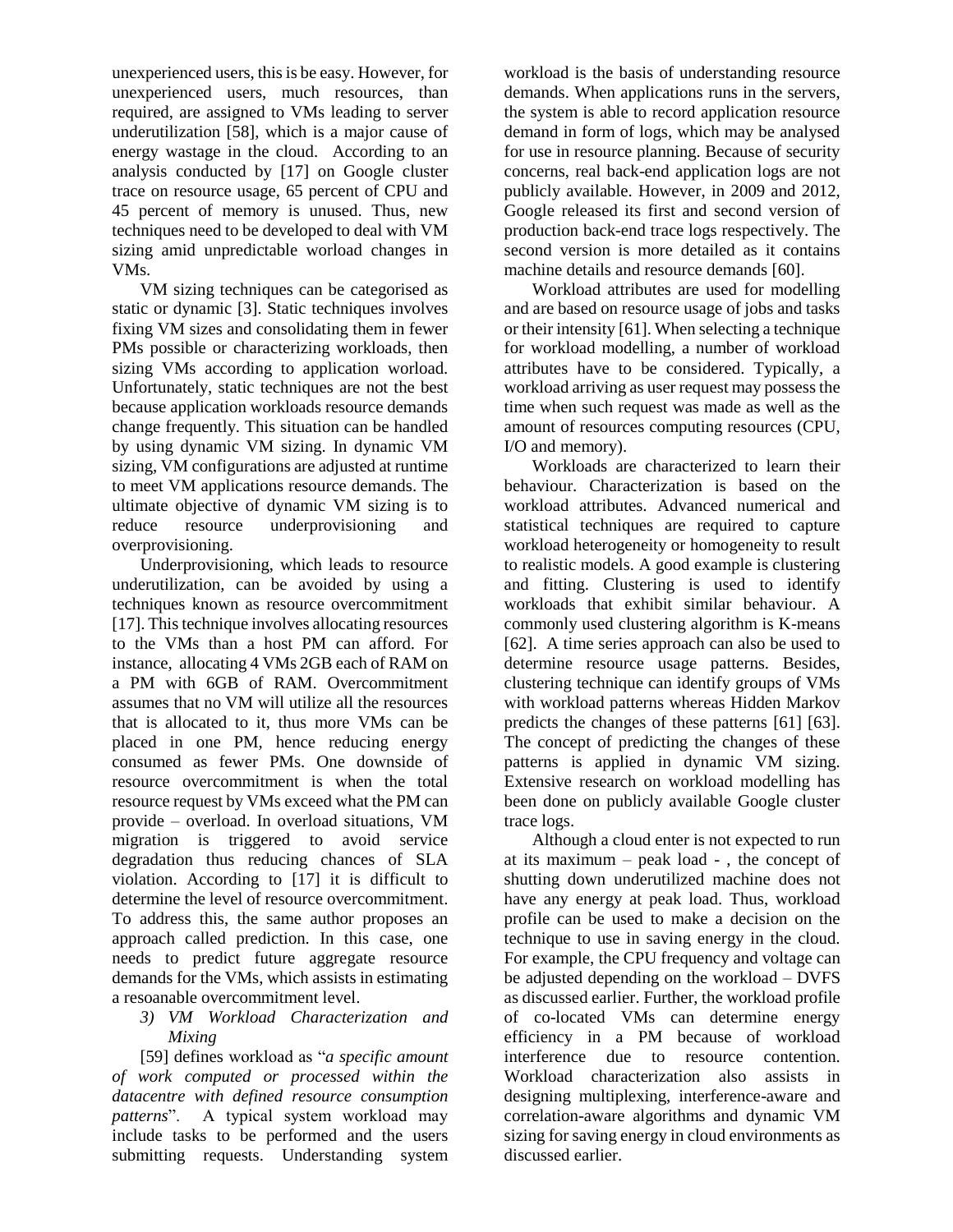unexperienced users, this is be easy. However, for unexperienced users, much resources, than required, are assigned to VMs leading to server underutilization [58], which is a major cause of energy wastage in the cloud. According to an analysis conducted by [17] on Google cluster trace on resource usage, 65 percent of CPU and 45 percent of memory is unused. Thus, new techniques need to be developed to deal with VM sizing amid unpredictable worload changes in VMs.

VM sizing techniques can be categorised as static or dynamic [3]. Static techniques involves fixing VM sizes and consolidating them in fewer PMs possible or characterizing workloads, then sizing VMs according to application worload. Unfortunately, static techniques are not the best because application workloads resource demands change frequently. This situation can be handled by using dynamic VM sizing. In dynamic VM sizing, VM configurations are adjusted at runtime to meet VM applications resource demands. The ultimate objective of dynamic VM sizing is to reduce resource underprovisioning and overprovisioning.

Underprovisioning, which leads to resource underutilization, can be avoided by using a techniques known as resource overcommitment [17]. This technique involves allocating resources to the VMs than a host PM can afford. For instance, allocating 4 VMs 2GB each of RAM on a PM with 6GB of RAM. Overcommitment assumes that no VM will utilize all the resources that is allocated to it, thus more VMs can be placed in one PM, hence reducing energy consumed as fewer PMs. One downside of resource overcommitment is when the total resource request by VMs exceed what the PM can provide – overload. In overload situations, VM migration is triggered to avoid service degradation thus reducing chances of SLA violation. According to [17] it is difficult to determine the level of resource overcommitment. To address this, the same author proposes an approach called prediction. In this case, one needs to predict future aggregate resource demands for the VMs, which assists in estimating a resoanable overcommitment level.

*3) VM Workload Characterization and Mixing*

[59] defines workload as "*a specific amount of work computed or processed within the datacentre with defined resource consumption patterns*". A typical system workload may include tasks to be performed and the users submitting requests. Understanding system

workload is the basis of understanding resource demands. When applications runs in the servers, the system is able to record application resource demand in form of logs, which may be analysed for use in resource planning. Because of security concerns, real back-end application logs are not publicly available. However, in 2009 and 2012, Google released its first and second version of production back-end trace logs respectively. The second version is more detailed as it contains machine details and resource demands [60].

Workload attributes are used for modelling and are based on resource usage of jobs and tasks or their intensity [61]. When selecting a technique for workload modelling, a number of workload attributes have to be considered. Typically, a workload arriving as user request may possess the time when such request was made as well as the amount of resources computing resources (CPU, I/O and memory).

Workloads are characterized to learn their behaviour. Characterization is based on the workload attributes. Advanced numerical and statistical techniques are required to capture workload heterogeneity or homogeneity to result to realistic models. A good example is clustering and fitting. Clustering is used to identify workloads that exhibit similar behaviour. A commonly used clustering algorithm is K-means [62]. A time series approach can also be used to determine resource usage patterns. Besides, clustering technique can identify groups of VMs with workload patterns whereas Hidden Markov predicts the changes of these patterns [61] [63]. The concept of predicting the changes of these patterns is applied in dynamic VM sizing. Extensive research on workload modelling has been done on publicly available Google cluster trace logs.

Although a cloud enter is not expected to run at its maximum – peak load - , the concept of shutting down underutilized machine does not have any energy at peak load. Thus, workload profile can be used to make a decision on the technique to use in saving energy in the cloud. For example, the CPU frequency and voltage can be adjusted depending on the workload – DVFS as discussed earlier. Further, the workload profile of co-located VMs can determine energy efficiency in a PM because of workload interference due to resource contention. Workload characterization also assists in designing multiplexing, interference-aware and correlation-aware algorithms and dynamic VM sizing for saving energy in cloud environments as discussed earlier.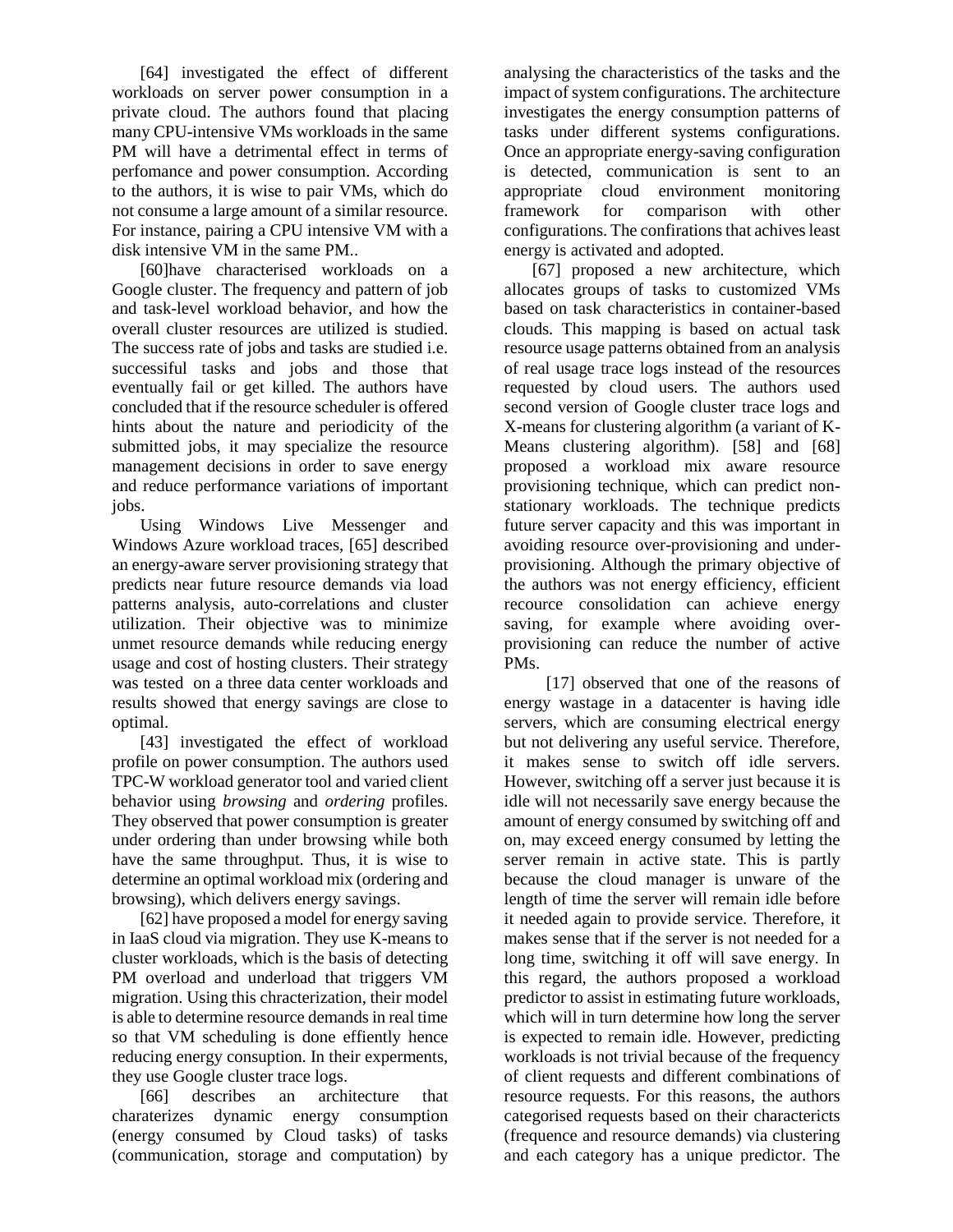[64] investigated the effect of different workloads on server power consumption in a private cloud. The authors found that placing many CPU-intensive VMs workloads in the same PM will have a detrimental effect in terms of perfomance and power consumption. According to the authors, it is wise to pair VMs, which do not consume a large amount of a similar resource. For instance, pairing a CPU intensive VM with a disk intensive VM in the same PM..

[60]have characterised workloads on a Google cluster. The frequency and pattern of job and task-level workload behavior, and how the overall cluster resources are utilized is studied. The success rate of jobs and tasks are studied i.e. successiful tasks and jobs and those that eventually fail or get killed. The authors have concluded that if the resource scheduler is offered hints about the nature and periodicity of the submitted jobs, it may specialize the resource management decisions in order to save energy and reduce performance variations of important jobs.

Using Windows Live Messenger and Windows Azure workload traces, [65] described an energy-aware server provisioning strategy that predicts near future resource demands via load patterns analysis, auto-correlations and cluster utilization. Their objective was to minimize unmet resource demands while reducing energy usage and cost of hosting clusters. Their strategy was tested on a three data center workloads and results showed that energy savings are close to optimal.

[43] investigated the effect of workload profile on power consumption. The authors used TPC-W workload generator tool and varied client behavior using *browsing* and *ordering* profiles. They observed that power consumption is greater under ordering than under browsing while both have the same throughput. Thus, it is wise to determine an optimal workload mix (ordering and browsing), which delivers energy savings.

[62] have proposed a model for energy saving in IaaS cloud via migration. They use K-means to cluster workloads, which is the basis of detecting PM overload and underload that triggers VM migration. Using this chracterization, their model is able to determine resource demands in real time so that VM scheduling is done effiently hence reducing energy consuption. In their experments, they use Google cluster trace logs.

[66] describes an architecture that charaterizes dynamic energy consumption (energy consumed by Cloud tasks) of tasks (communication, storage and computation) by analysing the characteristics of the tasks and the impact of system configurations. The architecture investigates the energy consumption patterns of tasks under different systems configurations. Once an appropriate energy-saving configuration is detected, communication is sent to an appropriate cloud environment monitoring framework for comparison with other configurations. The confirations that achives least energy is activated and adopted.

[67] proposed a new architecture, which allocates groups of tasks to customized VMs based on task characteristics in container-based clouds. This mapping is based on actual task resource usage patterns obtained from an analysis of real usage trace logs instead of the resources requested by cloud users. The authors used second version of Google cluster trace logs and X-means for clustering algorithm (a variant of K-Means clustering algorithm). [58] and [68] proposed a workload mix aware resource provisioning technique, which can predict nonstationary workloads. The technique predicts future server capacity and this was important in avoiding resource over-provisioning and underprovisioning. Although the primary objective of the authors was not energy efficiency, efficient recource consolidation can achieve energy saving, for example where avoiding overprovisioning can reduce the number of active PMs.

[17] observed that one of the reasons of energy wastage in a datacenter is having idle servers, which are consuming electrical energy but not delivering any useful service. Therefore, it makes sense to switch off idle servers. However, switching off a server just because it is idle will not necessarily save energy because the amount of energy consumed by switching off and on, may exceed energy consumed by letting the server remain in active state. This is partly because the cloud manager is unware of the length of time the server will remain idle before it needed again to provide service. Therefore, it makes sense that if the server is not needed for a long time, switching it off will save energy. In this regard, the authors proposed a workload predictor to assist in estimating future workloads, which will in turn determine how long the server is expected to remain idle. However, predicting workloads is not trivial because of the frequency of client requests and different combinations of resource requests. For this reasons, the authors categorised requests based on their charactericts (frequence and resource demands) via clustering and each category has a unique predictor. The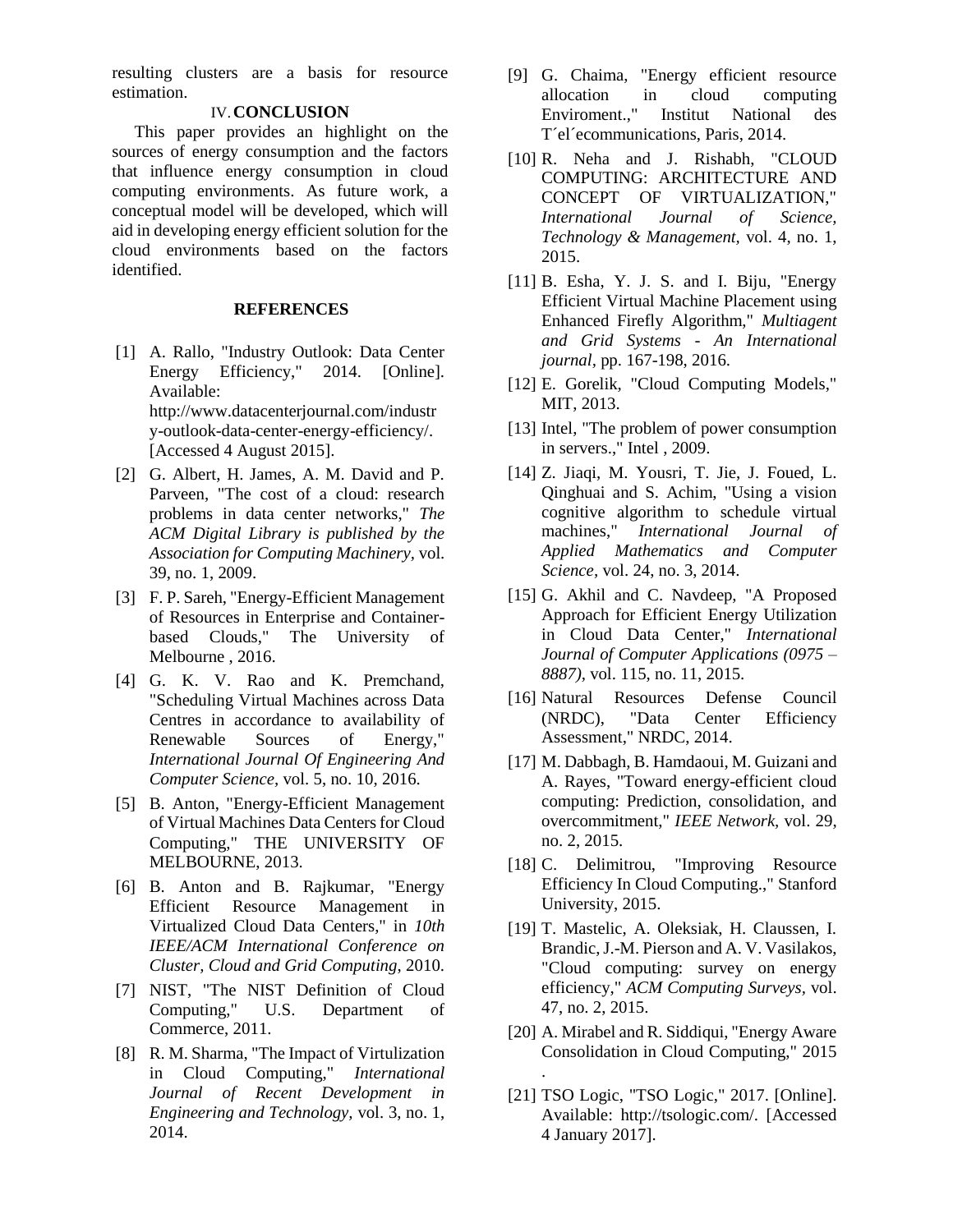resulting clusters are a basis for resource estimation.

#### IV.**CONCLUSION**

This paper provides an highlight on the sources of energy consumption and the factors that influence energy consumption in cloud computing environments. As future work, a conceptual model will be developed, which will aid in developing energy efficient solution for the cloud environments based on the factors identified.

#### **REFERENCES**

- [1] A. Rallo, "Industry Outlook: Data Center Energy Efficiency," 2014. [Online]. Available: http://www.datacenterjournal.com/industr y-outlook-data-center-energy-efficiency/. [Accessed 4 August 2015].
- [2] G. Albert, H. James, A. M. David and P. Parveen, "The cost of a cloud: research problems in data center networks," *The ACM Digital Library is published by the Association for Computing Machinery,* vol. 39, no. 1, 2009.
- [3] F. P. Sareh, "Energy-Efficient Management of Resources in Enterprise and Containerbased Clouds," The University of Melbourne , 2016.
- [4] G. K. V. Rao and K. Premchand, "Scheduling Virtual Machines across Data Centres in accordance to availability of Renewable Sources of Energy," *International Journal Of Engineering And Computer Science,* vol. 5, no. 10, 2016.
- [5] B. Anton, "Energy-Efficient Management of Virtual Machines Data Centers for Cloud Computing," THE UNIVERSITY OF MELBOURNE, 2013.
- [6] B. Anton and B. Rajkumar, "Energy Efficient Resource Management in Virtualized Cloud Data Centers," in *10th IEEE/ACM International Conference on Cluster, Cloud and Grid Computing*, 2010.
- [7] NIST, "The NIST Definition of Cloud Computing," U.S. Department of Commerce, 2011.
- [8] R. M. Sharma, "The Impact of Virtulization in Cloud Computing," *International Journal of Recent Development in Engineering and Technology,* vol. 3, no. 1, 2014.
- [9] G. Chaima, "Energy efficient resource allocation in cloud computing Enviroment.," Institut National des T´el´ecommunications, Paris, 2014.
- [10] R. Neha and J. Rishabh, "CLOUD COMPUTING: ARCHITECTURE AND CONCEPT OF VIRTUALIZATION," *International Journal of Science, Technology & Management,* vol. 4, no. 1, 2015.
- [11] B. Esha, Y. J. S. and I. Biju, "Energy Efficient Virtual Machine Placement using Enhanced Firefly Algorithm," *Multiagent and Grid Systems - An International journal,* pp. 167-198, 2016.
- [12] E. Gorelik, "Cloud Computing Models," MIT, 2013.
- [13] Intel, "The problem of power consumption in servers.," Intel , 2009.
- [14] Z. Jiaqi, M. Yousri, T. Jie, J. Foued, L. Qinghuai and S. Achim, "Using a vision cognitive algorithm to schedule virtual machines," *International Journal of Applied Mathematics and Computer Science,* vol. 24, no. 3, 2014.
- [15] G. Akhil and C. Navdeep, "A Proposed Approach for Efficient Energy Utilization in Cloud Data Center," *International Journal of Computer Applications (0975 – 8887),* vol. 115, no. 11, 2015.
- [16] Natural Resources Defense Council (NRDC), "Data Center Efficiency Assessment," NRDC, 2014.
- [17] M. Dabbagh, B. Hamdaoui, M. Guizani and A. Rayes, "Toward energy-efficient cloud computing: Prediction, consolidation, and overcommitment," *IEEE Network,* vol. 29, no. 2, 2015.
- [18] C. Delimitrou, "Improving Resource Efficiency In Cloud Computing.," Stanford University, 2015.
- [19] T. Mastelic, A. Oleksiak, H. Claussen, I. Brandic, J.-M. Pierson and A. V. Vasilakos, "Cloud computing: survey on energy efficiency," *ACM Computing Surveys,* vol. 47, no. 2, 2015.
- [20] A. Mirabel and R. Siddiqui, "Energy Aware Consolidation in Cloud Computing," 2015 .
- [21] TSO Logic, "TSO Logic," 2017. [Online]. Available: http://tsologic.com/. [Accessed 4 January 2017].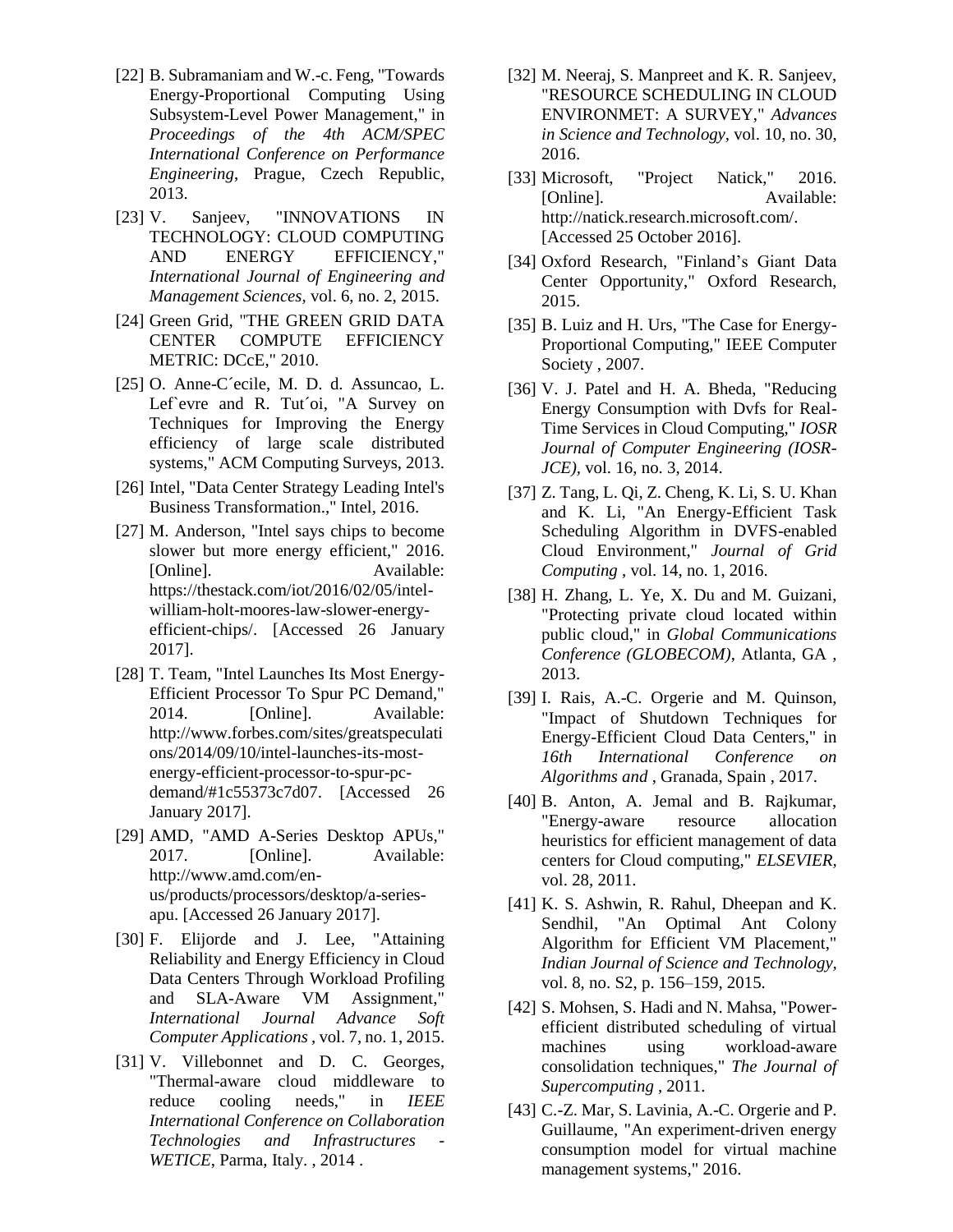- [22] B. Subramaniam and W.-c. Feng, "Towards" Energy-Proportional Computing Using Subsystem-Level Power Management," in *Proceedings of the 4th ACM/SPEC International Conference on Performance Engineering*, Prague, Czech Republic, 2013.
- [23] V. Sanjeev, "INNOVATIONS IN TECHNOLOGY: CLOUD COMPUTING AND ENERGY EFFICIENCY," *International Journal of Engineering and Management Sciences,* vol. 6, no. 2, 2015.
- [24] Green Grid, "THE GREEN GRID DATA CENTER COMPUTE EFFICIENCY METRIC: DCcE," 2010.
- [25] O. Anne-C´ecile, M. D. d. Assuncao, L. Lef`evre and R. Tut´oi, "A Survey on Techniques for Improving the Energy efficiency of large scale distributed systems," ACM Computing Surveys, 2013.
- [26] Intel, "Data Center Strategy Leading Intel's Business Transformation.," Intel, 2016.
- [27] M. Anderson, "Intel says chips to become slower but more energy efficient," 2016. [Online]. Available: https://thestack.com/iot/2016/02/05/intelwilliam-holt-moores-law-slower-energyefficient-chips/. [Accessed 26 January 2017].
- [28] T. Team, "Intel Launches Its Most Energy-Efficient Processor To Spur PC Demand," 2014. [Online]. Available: http://www.forbes.com/sites/greatspeculati ons/2014/09/10/intel-launches-its-mostenergy-efficient-processor-to-spur-pcdemand/#1c55373c7d07. [Accessed 26 January 2017].
- [29] AMD, "AMD A-Series Desktop APUs," 2017. [Online]. Available: http://www.amd.com/enus/products/processors/desktop/a-seriesapu. [Accessed 26 January 2017].
- [30] F. Elijorde and J. Lee, "Attaining Reliability and Energy Efficiency in Cloud Data Centers Through Workload Profiling and SLA-Aware VM Assignment," *International Journal Advance Soft Computer Applications ,* vol. 7, no. 1, 2015.
- [31] V. Villebonnet and D. C. Georges, "Thermal-aware cloud middleware to reduce cooling needs," in *IEEE International Conference on Collaboration Technologies and Infrastructures - WETICE*, Parma, Italy. , 2014 .
- [32] M. Neeraj, S. Manpreet and K. R. Sanjeev, "RESOURCE SCHEDULING IN CLOUD ENVIRONMET: A SURVEY," *Advances in Science and Technology,* vol. 10, no. 30, 2016.
- [33] Microsoft, "Project Natick," 2016. [Online]. Available: http://natick.research.microsoft.com/. [Accessed 25 October 2016].
- [34] Oxford Research, "Finland's Giant Data Center Opportunity," Oxford Research, 2015.
- [35] B. Luiz and H. Urs, "The Case for Energy-Proportional Computing," IEEE Computer Society , 2007.
- [36] V. J. Patel and H. A. Bheda, "Reducing Energy Consumption with Dvfs for Real-Time Services in Cloud Computing," *IOSR Journal of Computer Engineering (IOSR-JCE),* vol. 16, no. 3, 2014.
- [37] Z. Tang, L. Qi, Z. Cheng, K. Li, S. U. Khan and K. Li, "An Energy-Efficient Task Scheduling Algorithm in DVFS-enabled Cloud Environment," *Journal of Grid Computing ,* vol. 14, no. 1, 2016.
- [38] H. Zhang, L. Ye, X. Du and M. Guizani, "Protecting private cloud located within public cloud," in *Global Communications Conference (GLOBECOM)*, Atlanta, GA , 2013.
- [39] I. Rais, A.-C. Orgerie and M. Quinson, "Impact of Shutdown Techniques for Energy-Efficient Cloud Data Centers," in *16th International Conference on Algorithms and* , Granada, Spain , 2017.
- [40] B. Anton, A. Jemal and B. Rajkumar, "Energy-aware resource allocation heuristics for efficient management of data centers for Cloud computing," *ELSEVIER,*  vol. 28, 2011.
- [41] K. S. Ashwin, R. Rahul, Dheepan and K. Sendhil, "An Optimal Ant Colony Algorithm for Efficient VM Placement," *Indian Journal of Science and Technology,*  vol. 8, no. S2, p. 156–159, 2015.
- [42] S. Mohsen, S. Hadi and N. Mahsa, "Powerefficient distributed scheduling of virtual machines using workload-aware consolidation techniques," *The Journal of Supercomputing ,* 2011.
- [43] C.-Z. Mar, S. Lavinia, A.-C. Orgerie and P. Guillaume, "An experiment-driven energy consumption model for virtual machine management systems," 2016.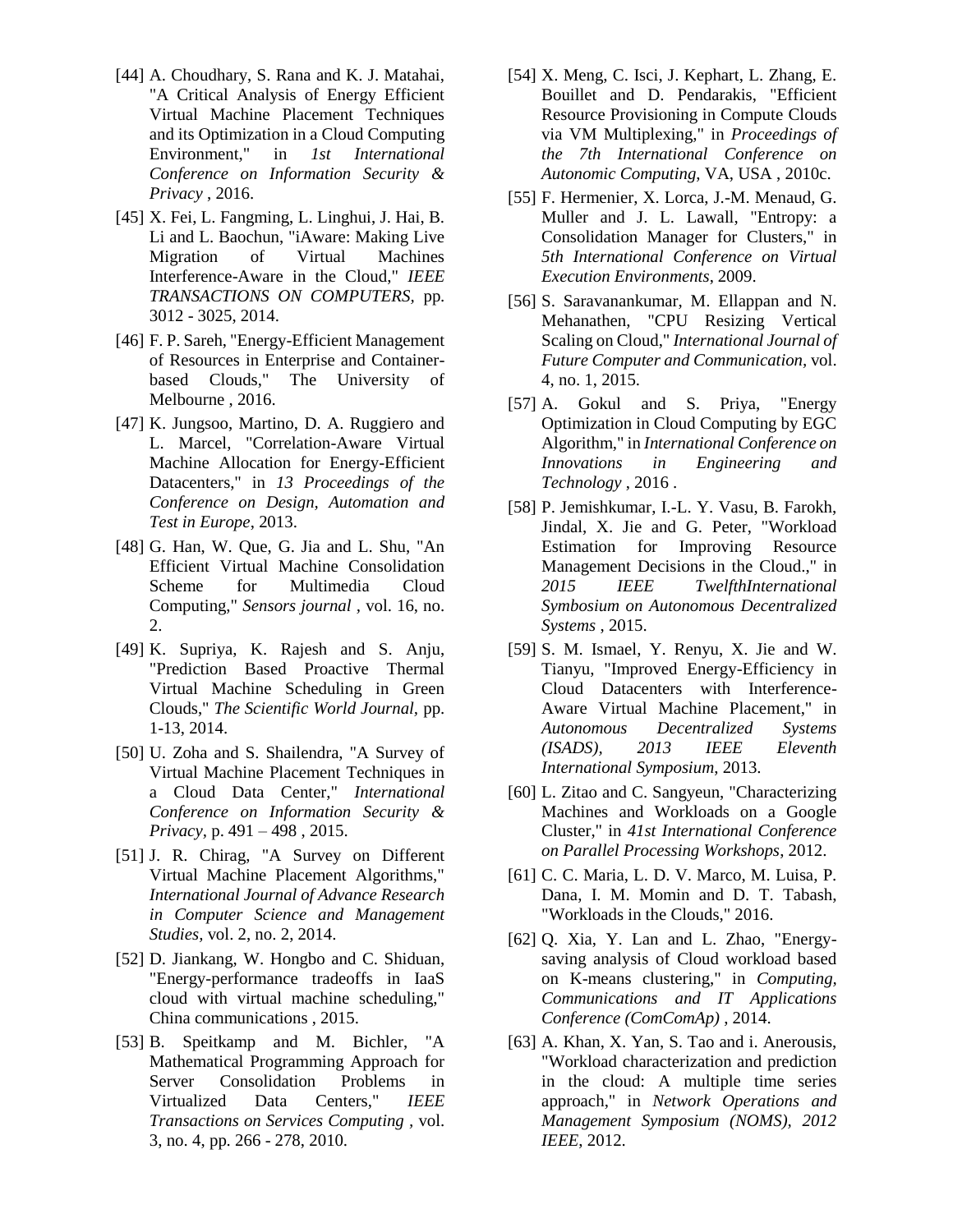- [44] A. Choudhary, S. Rana and K. J. Matahai, "A Critical Analysis of Energy Efficient Virtual Machine Placement Techniques and its Optimization in a Cloud Computing Environment," in *1st International Conference on Information Security & Privacy* , 2016.
- [45] X. Fei, L. Fangming, L. Linghui, J. Hai, B. Li and L. Baochun, "iAware: Making Live Migration of Virtual Machines Interference-Aware in the Cloud," *IEEE TRANSACTIONS ON COMPUTERS,* pp. 3012 - 3025, 2014.
- [46] F. P. Sareh, "Energy-Efficient Management of Resources in Enterprise and Containerbased Clouds," The University of Melbourne , 2016.
- [47] K. Jungsoo, Martino, D. A. Ruggiero and L. Marcel, "Correlation-Aware Virtual Machine Allocation for Energy-Efficient Datacenters," in *13 Proceedings of the Conference on Design, Automation and Test in Europe*, 2013.
- [48] G. Han, W. Que, G. Jia and L. Shu, "An Efficient Virtual Machine Consolidation Scheme for Multimedia Cloud Computing," *Sensors journal ,* vol. 16, no. 2.
- [49] K. Supriya, K. Rajesh and S. Anju, "Prediction Based Proactive Thermal Virtual Machine Scheduling in Green Clouds," *The Scientific World Journal,* pp. 1-13, 2014.
- [50] U. Zoha and S. Shailendra, "A Survey of Virtual Machine Placement Techniques in a Cloud Data Center," *International Conference on Information Security & Privacy,* p. 491 – 498 , 2015.
- [51] J. R. Chirag, "A Survey on Different Virtual Machine Placement Algorithms," *International Journal of Advance Research in Computer Science and Management Studies,* vol. 2, no. 2, 2014.
- [52] D. Jiankang, W. Hongbo and C. Shiduan, "Energy-performance tradeoffs in IaaS cloud with virtual machine scheduling," China communications , 2015.
- [53] B. Speitkamp and M. Bichler, "A Mathematical Programming Approach for Server Consolidation Problems in Virtualized Data Centers," *IEEE Transactions on Services Computing ,* vol. 3, no. 4, pp. 266 - 278, 2010.
- [54] X. Meng, C. Isci, J. Kephart, L. Zhang, E. Bouillet and D. Pendarakis, "Efficient Resource Provisioning in Compute Clouds via VM Multiplexing," in *Proceedings of the 7th International Conference on Autonomic Computing*, VA, USA , 2010c.
- [55] F. Hermenier, X. Lorca, J.-M. Menaud, G. Muller and J. L. Lawall, "Entropy: a Consolidation Manager for Clusters," in *5th International Conference on Virtual Execution Environments*, 2009.
- [56] S. Saravanankumar, M. Ellappan and N. Mehanathen, "CPU Resizing Vertical Scaling on Cloud," *International Journal of Future Computer and Communication,* vol. 4, no. 1, 2015.
- [57] A. Gokul and S. Priya, "Energy Optimization in Cloud Computing by EGC Algorithm," in *International Conference on Innovations in Engineering and Technology* , 2016 .
- [58] P. Jemishkumar, I.-L. Y. Vasu, B. Farokh, Jindal, X. Jie and G. Peter, "Workload Estimation for Improving Resource Management Decisions in the Cloud.," in *2015 IEEE TwelfthInternational Symbosium on Autonomous Decentralized Systems* , 2015.
- [59] S. M. Ismael, Y. Renyu, X. Jie and W. Tianyu, "Improved Energy-Efficiency in Cloud Datacenters with Interference-Aware Virtual Machine Placement," in *Autonomous Decentralized Systems (ISADS), 2013 IEEE Eleventh International Symposium*, 2013.
- [60] L. Zitao and C. Sangyeun, "Characterizing Machines and Workloads on a Google Cluster," in *41st International Conference on Parallel Processing Workshops*, 2012.
- [61] C. C. Maria, L. D. V. Marco, M. Luisa, P. Dana, I. M. Momin and D. T. Tabash, "Workloads in the Clouds," 2016.
- [62] Q. Xia, Y. Lan and L. Zhao, "Energysaving analysis of Cloud workload based on K-means clustering," in *Computing, Communications and IT Applications Conference (ComComAp)* , 2014.
- [63] A. Khan, X. Yan, S. Tao and i. Anerousis, "Workload characterization and prediction in the cloud: A multiple time series approach," in *Network Operations and Management Symposium (NOMS), 2012 IEEE*, 2012.